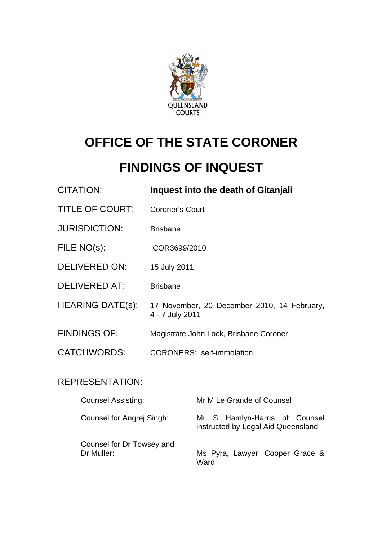

# **OFFICE OF THE STATE CORONER**

# **FINDINGS OF INQUEST**

| CITATION:               | Inquest into the death of Gitanjali                            |
|-------------------------|----------------------------------------------------------------|
| <b>TITLE OF COURT:</b>  | <b>Coroner's Court</b>                                         |
| <b>JURISDICTION:</b>    | <b>Brisbane</b>                                                |
| FILE NO(s):             | COR3699/2010                                                   |
| <b>DELIVERED ON:</b>    | 15 July 2011                                                   |
| <b>DELIVERED AT:</b>    | <b>Brisbane</b>                                                |
| <b>HEARING DATE(s):</b> | 17 November, 20 December 2010, 14 February,<br>4 - 7 July 2011 |
| <b>FINDINGS OF:</b>     | Magistrate John Lock, Brisbane Coroner                         |
| CATCHWORDS:             | <b>CORONERS: self-immolation</b>                               |
|                         |                                                                |

# REPRESENTATION:

| <b>Counsel Assisting:</b>               | Mr M Le Grande of Counsel                                           |
|-----------------------------------------|---------------------------------------------------------------------|
| Counsel for Angrej Singh:               | Mr S Hamlyn-Harris of Counsel<br>instructed by Legal Aid Queensland |
| Counsel for Dr Towsey and<br>Dr Muller: | Ms Pyra, Lawyer, Cooper Grace &<br>Ward                             |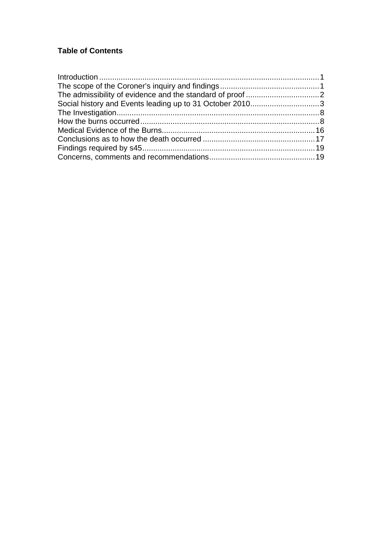## **Table of Contents**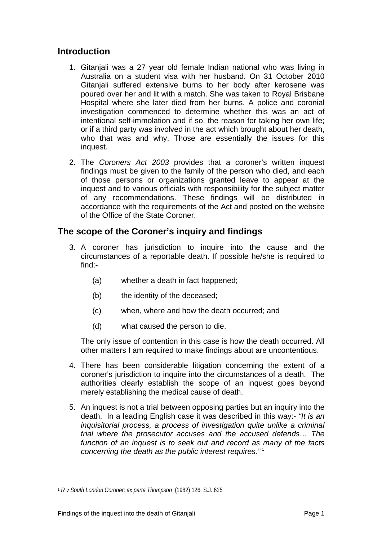### <span id="page-2-0"></span>**Introduction**

- 1. Gitanjali was a 27 year old female Indian national who was living in Australia on a student visa with her husband. On 31 October 2010 Gitanjali suffered extensive burns to her body after kerosene was poured over her and lit with a match. She was taken to Royal Brisbane Hospital where she later died from her burns. A police and coronial investigation commenced to determine whether this was an act of intentional self-immolation and if so, the reason for taking her own life; or if a third party was involved in the act which brought about her death, who that was and why. Those are essentially the issues for this inquest.
- 2. The *Coroners Act 2003* provides that a coroner's written inquest findings must be given to the family of the person who died, and each of those persons or organizations granted leave to appear at the inquest and to various officials with responsibility for the subject matter of any recommendations. These findings will be distributed in accordance with the requirements of the Act and posted on the website of the Office of the State Coroner.

## **The scope of the Coroner's inquiry and findings**

- 3. A coroner has jurisdiction to inquire into the cause and the circumstances of a reportable death. If possible he/she is required to find:-
	- (a) whether a death in fact happened;
	- (b) the identity of the deceased;
	- (c) when, where and how the death occurred; and
	- (d) what caused the person to die.

The only issue of contention in this case is how the death occurred. All other matters I am required to make findings about are uncontentious.

- 4. There has been considerable litigation concerning the extent of a coroner's jurisdiction to inquire into the circumstances of a death. The authorities clearly establish the scope of an inquest goes beyond merely establishing the medical cause of death.
- 5. An inquest is not a trial between opposing parties but an inquiry into the death. In a leading English case it was described in this way:- *"It is an inquisitorial process, a process of investigation quite unlike a criminal trial where the prosecutor accuses and the accused defends… The function of an inquest is to seek out and record as many of the facts concerning the death as the public interest requires."* [1](#page-2-1)

<span id="page-2-1"></span>l <sup>1</sup> *R v South London Coroner; ex parte Thompson* (1982) 126 S.J. 625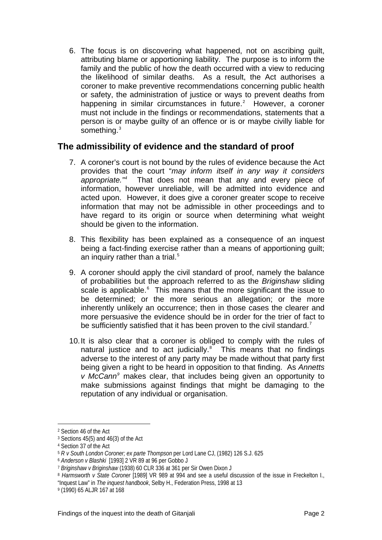<span id="page-3-0"></span>6. The focus is on discovering what happened, not on ascribing guilt, attributing blame or apportioning liability. The purpose is to inform the family and the public of how the death occurred with a view to reducing the likelihood of similar deaths. As a result, the Act authorises a coroner to make preventive recommendations concerning public health or safety, the administration of justice or ways to prevent deaths from happening in similar circumstances in future. $2$  However, a coroner must not include in the findings or recommendations, statements that a person is or maybe guilty of an offence or is or maybe civilly liable for something.<sup>[3](#page-3-2)</sup>

## **The admissibility of evidence and the standard of proof**

- 7. A coroner's court is not bound by the rules of evidence because the Act provides that the court "*may inform itself in any way it considers appropriate."[4](#page-3-3)* That does not mean that any and every piece of information, however unreliable, will be admitted into evidence and acted upon. However, it does give a coroner greater scope to receive information that may not be admissible in other proceedings and to have regard to its origin or source when determining what weight should be given to the information.
- 8. This flexibility has been explained as a consequence of an inquest being a fact-finding exercise rather than a means of apportioning guilt; an inquiry rather than a trial. $5$
- 9. A coroner should apply the civil standard of proof, namely the balance of probabilities but the approach referred to as the *Briginshaw* sliding scale is applicable.<sup>[6](#page-3-5)</sup> This means that the more significant the issue to be determined; or the more serious an allegation; or the more inherently unlikely an occurrence; then in those cases the clearer and more persuasive the evidence should be in order for the trier of fact to be sufficiently satisfied that it has been proven to the civil standard.<sup>[7](#page-3-6)</sup>
- 10. It is also clear that a coroner is obliged to comply with the rules of natural justice and to act judicially. $8$  This means that no findings adverse to the interest of any party may be made without that party first being given a right to be heard in opposition to that finding. As *Annetts v McCann[9](#page-3-8)* makes clear, that includes being given an opportunity to make submissions against findings that might be damaging to the reputation of any individual or organisation.

<span id="page-3-1"></span><sup>2</sup> Section 46 of the Act

<span id="page-3-2"></span><sup>3</sup> Sections 45(5) and 46(3) of the Act

<span id="page-3-3"></span><sup>4</sup> Section 37 of the Act

<sup>5</sup> *R v South London Coroner; ex parte Thompson* per Lord Lane CJ, (1982) 126 S.J. 625

<span id="page-3-6"></span><span id="page-3-5"></span><span id="page-3-4"></span><sup>6</sup> *Anderson v Blashki* [1993] 2 VR 89 at 96 per Gobbo J

<sup>7</sup> *Briginshaw v Briginshaw* (1938) 60 CLR 336 at 361 per Sir Owen Dixon J

<span id="page-3-7"></span><sup>8</sup> *Harmsworth v State Coroner* [1989] VR 989 at 994 and see a useful discussion of the issue in Freckelton I., "Inquest Law" in *The inquest handbook*, Selby H., Federation Press, 1998 at 13

<span id="page-3-8"></span><sup>9 (1990) 65</sup> ALJR 167 at 168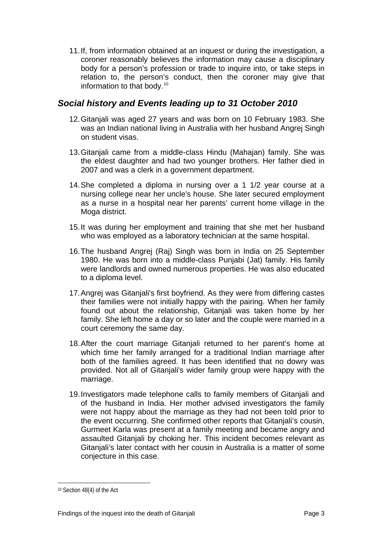<span id="page-4-0"></span>11. If, from information obtained at an inquest or during the investigation, a coroner reasonably believes the information may cause a disciplinary body for a person's profession or trade to inquire into, or take steps in relation to, the person's conduct, then the coroner may give that information to that body.[10](#page-4-1)

### *Social history and Events leading up to 31 October 2010*

- 12. Gitanjali was aged 27 years and was born on 10 February 1983. She was an Indian national living in Australia with her husband Angrej Singh on student visas.
- 13. Gitanjali came from a middle-class Hindu (Mahajan) family. She was the eldest daughter and had two younger brothers. Her father died in 2007 and was a clerk in a government department.
- 14. She completed a diploma in nursing over a 1 1/2 year course at a nursing college near her uncle's house. She later secured employment as a nurse in a hospital near her parents' current home village in the Moga district.
- 15. It was during her employment and training that she met her husband who was employed as a laboratory technician at the same hospital.
- 16. The husband Angrej (Raj) Singh was born in India on 25 September 1980. He was born into a middle-class Punjabi (Jat) family. His family were landlords and owned numerous properties. He was also educated to a diploma level.
- 17. Angrej was Gitanjali's first boyfriend. As they were from differing castes their families were not initially happy with the pairing. When her family found out about the relationship, Gitanjali was taken home by her family. She left home a day or so later and the couple were married in a court ceremony the same day.
- 18. After the court marriage Gitanjali returned to her parent's home at which time her family arranged for a traditional Indian marriage after both of the families agreed. It has been identified that no dowry was provided. Not all of Gitanjali's wider family group were happy with the marriage.
- 19. Investigators made telephone calls to family members of Gitanjali and of the husband in India. Her mother advised investigators the family were not happy about the marriage as they had not been told prior to the event occurring. She confirmed other reports that Gitanjali's cousin, Gurmeet Karla was present at a family meeting and became angry and assaulted Gitanjali by choking her. This incident becomes relevant as Gitanjali's later contact with her cousin in Australia is a matter of some conjecture in this case.

<span id="page-4-1"></span><sup>10</sup> Section 48(4) of the Act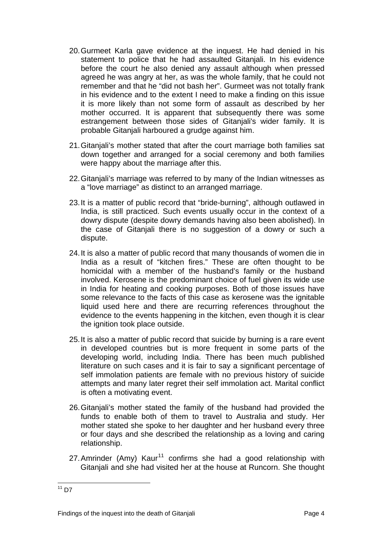- 20. Gurmeet Karla gave evidence at the inquest. He had denied in his statement to police that he had assaulted Gitanjali. In his evidence before the court he also denied any assault although when pressed agreed he was angry at her, as was the whole family, that he could not remember and that he "did not bash her". Gurmeet was not totally frank in his evidence and to the extent I need to make a finding on this issue it is more likely than not some form of assault as described by her mother occurred. It is apparent that subsequently there was some estrangement between those sides of Gitanjali's wider family. It is probable Gitanjali harboured a grudge against him.
- 21. Gitanjali's mother stated that after the court marriage both families sat down together and arranged for a social ceremony and both families were happy about the marriage after this.
- 22. Gitanjali's marriage was referred to by many of the Indian witnesses as a "love marriage" as distinct to an arranged marriage.
- 23. It is a matter of public record that "bride-burning", although outlawed in India, is still practiced. Such events usually occur in the context of a dowry dispute (despite dowry demands having also been abolished). In the case of Gitanjali there is no suggestion of a dowry or such a dispute.
- 24. It is also a matter of public record that many thousands of women die in India as a result of "kitchen fires." These are often thought to be homicidal with a member of the husband's family or the husband involved. Kerosene is the predominant choice of fuel given its wide use in India for heating and cooking purposes. Both of those issues have some relevance to the facts of this case as kerosene was the ignitable liquid used here and there are recurring references throughout the evidence to the events happening in the kitchen, even though it is clear the ignition took place outside.
- 25. It is also a matter of public record that suicide by burning is a rare event in developed countries but is more frequent in some parts of the developing world, including India. There has been much published literature on such cases and it is fair to say a significant percentage of self immolation patients are female with no previous history of suicide attempts and many later regret their self immolation act. Marital conflict is often a motivating event.
- 26. Gitanjali's mother stated the family of the husband had provided the funds to enable both of them to travel to Australia and study. Her mother stated she spoke to her daughter and her husband every three or four days and she described the relationship as a loving and caring relationship.
- 27. Amrinder (Amy) Kaur<sup>[11](#page-5-0)</sup> confirms she had a good relationship with Gitanjali and she had visited her at the house at Runcorn. She thought

<span id="page-5-0"></span>l  $11$  D7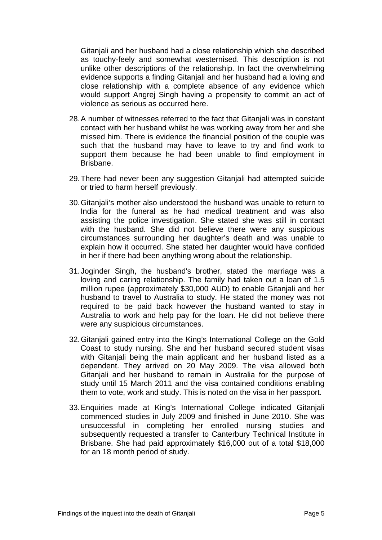Gitanjali and her husband had a close relationship which she described as touchy-feely and somewhat westernised. This description is not unlike other descriptions of the relationship. In fact the overwhelming evidence supports a finding Gitanjali and her husband had a loving and close relationship with a complete absence of any evidence which would support Angrej Singh having a propensity to commit an act of violence as serious as occurred here.

- 28. A number of witnesses referred to the fact that Gitanjali was in constant contact with her husband whilst he was working away from her and she missed him. There is evidence the financial position of the couple was such that the husband may have to leave to try and find work to support them because he had been unable to find employment in Brisbane.
- 29. There had never been any suggestion Gitanjali had attempted suicide or tried to harm herself previously.
- 30. Gitanjali's mother also understood the husband was unable to return to India for the funeral as he had medical treatment and was also assisting the police investigation. She stated she was still in contact with the husband. She did not believe there were any suspicious circumstances surrounding her daughter's death and was unable to explain how it occurred. She stated her daughter would have confided in her if there had been anything wrong about the relationship.
- 31. Joginder Singh, the husband's brother, stated the marriage was a loving and caring relationship. The family had taken out a loan of 1.5 million rupee (approximately \$30,000 AUD) to enable Gitanjali and her husband to travel to Australia to study. He stated the money was not required to be paid back however the husband wanted to stay in Australia to work and help pay for the loan. He did not believe there were any suspicious circumstances.
- 32. Gitanjali gained entry into the King's International College on the Gold Coast to study nursing. She and her husband secured student visas with Gitanjali being the main applicant and her husband listed as a dependent. They arrived on 20 May 2009. The visa allowed both Gitanjali and her husband to remain in Australia for the purpose of study until 15 March 2011 and the visa contained conditions enabling them to vote, work and study. This is noted on the visa in her passport.
- 33. Enquiries made at King's International College indicated Gitanjali commenced studies in July 2009 and finished in June 2010. She was unsuccessful in completing her enrolled nursing studies and subsequently requested a transfer to Canterbury Technical Institute in Brisbane. She had paid approximately \$16,000 out of a total \$18,000 for an 18 month period of study.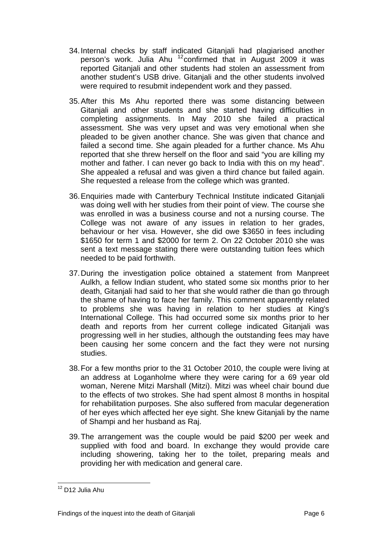- 34. Internal checks by staff indicated Gitanjali had plagiarised another person's work. Julia Ahu <sup>[12](#page-7-0)</sup> confirmed that in August 2009 it was reported Gitanjali and other students had stolen an assessment from another student's USB drive. Gitanjali and the other students involved were required to resubmit independent work and they passed.
- 35. After this Ms Ahu reported there was some distancing between Gitanjali and other students and she started having difficulties in completing assignments. In May 2010 she failed a practical assessment. She was very upset and was very emotional when she pleaded to be given another chance. She was given that chance and failed a second time. She again pleaded for a further chance. Ms Ahu reported that she threw herself on the floor and said "you are killing my mother and father. I can never go back to India with this on my head". She appealed a refusal and was given a third chance but failed again. She requested a release from the college which was granted.
- 36. Enquiries made with Canterbury Technical Institute indicated Gitanjali was doing well with her studies from their point of view. The course she was enrolled in was a business course and not a nursing course. The College was not aware of any issues in relation to her grades, behaviour or her visa. However, she did owe \$3650 in fees including \$1650 for term 1 and \$2000 for term 2. On 22 October 2010 she was sent a text message stating there were outstanding tuition fees which needed to be paid forthwith.
- 37. During the investigation police obtained a statement from Manpreet Aulkh, a fellow Indian student, who stated some six months prior to her death, Gitanjali had said to her that she would rather die than go through the shame of having to face her family. This comment apparently related to problems she was having in relation to her studies at King's International College. This had occurred some six months prior to her death and reports from her current college indicated Gitanjali was progressing well in her studies, although the outstanding fees may have been causing her some concern and the fact they were not nursing studies.
- 38. For a few months prior to the 31 October 2010, the couple were living at an address at Loganholme where they were caring for a 69 year old woman, Nerene Mitzi Marshall (Mitzi). Mitzi was wheel chair bound due to the effects of two strokes. She had spent almost 8 months in hospital for rehabilitation purposes. She also suffered from macular degeneration of her eyes which affected her eye sight. She knew Gitanjali by the name of Shampi and her husband as Raj.
- 39. The arrangement was the couple would be paid \$200 per week and supplied with food and board. In exchange they would provide care including showering, taking her to the toilet, preparing meals and providing her with medication and general care.

<span id="page-7-0"></span><sup>&</sup>lt;sup>12</sup> D12 Julia Ahu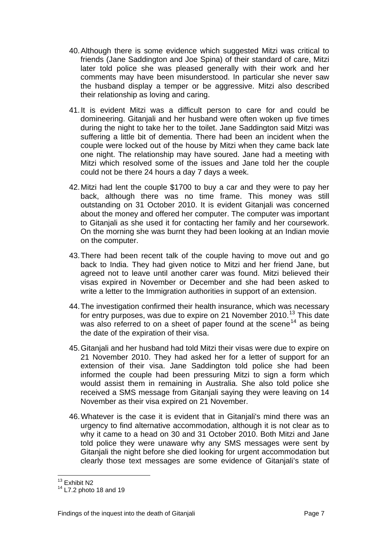- 40. Although there is some evidence which suggested Mitzi was critical to friends (Jane Saddington and Joe Spina) of their standard of care, Mitzi later told police she was pleased generally with their work and her comments may have been misunderstood. In particular she never saw the husband display a temper or be aggressive. Mitzi also described their relationship as loving and caring.
- 41. It is evident Mitzi was a difficult person to care for and could be domineering. Gitanjali and her husband were often woken up five times during the night to take her to the toilet. Jane Saddington said Mitzi was suffering a little bit of dementia. There had been an incident when the couple were locked out of the house by Mitzi when they came back late one night. The relationship may have soured. Jane had a meeting with Mitzi which resolved some of the issues and Jane told her the couple could not be there 24 hours a day 7 days a week.
- 42. Mitzi had lent the couple \$1700 to buy a car and they were to pay her back, although there was no time frame. This money was still outstanding on 31 October 2010. It is evident Gitanjali was concerned about the money and offered her computer. The computer was important to Gitanjali as she used it for contacting her family and her coursework. On the morning she was burnt they had been looking at an Indian movie on the computer.
- 43. There had been recent talk of the couple having to move out and go back to India. They had given notice to Mitzi and her friend Jane, but agreed not to leave until another carer was found. Mitzi believed their visas expired in November or December and she had been asked to write a letter to the Immigration authorities in support of an extension.
- 44. The investigation confirmed their health insurance, which was necessary for entry purposes, was due to expire on 21 November 2010.<sup>[13](#page-8-0)</sup> This date was also referred to on a sheet of paper found at the scene<sup>[14](#page-8-1)</sup> as being the date of the expiration of their visa.
- 45. Gitanjali and her husband had told Mitzi their visas were due to expire on 21 November 2010. They had asked her for a letter of support for an extension of their visa. Jane Saddington told police she had been informed the couple had been pressuring Mitzi to sign a form which would assist them in remaining in Australia. She also told police she received a SMS message from Gitanjali saying they were leaving on 14 November as their visa expired on 21 November.
- 46. Whatever is the case it is evident that in Gitanjali's mind there was an urgency to find alternative accommodation, although it is not clear as to why it came to a head on 30 and 31 October 2010. Both Mitzi and Jane told police they were unaware why any SMS messages were sent by Gitanjali the night before she died looking for urgent accommodation but clearly those text messages are some evidence of Gitanjali's state of

l <sup>13</sup> Exhibit N2

<span id="page-8-1"></span><span id="page-8-0"></span> $14$  L7.2 photo 18 and 19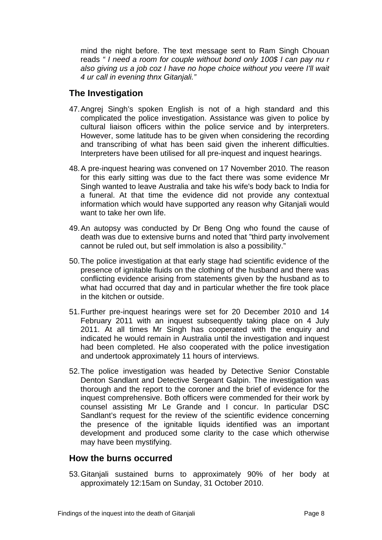<span id="page-9-0"></span>mind the night before. The text message sent to Ram Singh Chouan reads *" I need a room for couple without bond only 100\$ I can pay nu r also giving us a job coz I have no hope choice without you veere I'll wait 4 ur call in evening thnx Gitanjali."* 

## **The Investigation**

- 47. Angrej Singh's spoken English is not of a high standard and this complicated the police investigation. Assistance was given to police by cultural liaison officers within the police service and by interpreters. However, some latitude has to be given when considering the recording and transcribing of what has been said given the inherent difficulties. Interpreters have been utilised for all pre-inquest and inquest hearings.
- 48. A pre-inquest hearing was convened on 17 November 2010. The reason for this early sitting was due to the fact there was some evidence Mr Singh wanted to leave Australia and take his wife's body back to India for a funeral. At that time the evidence did not provide any contextual information which would have supported any reason why Gitanjali would want to take her own life.
- 49. An autopsy was conducted by Dr Beng Ong who found the cause of death was due to extensive burns and noted that "third party involvement cannot be ruled out, but self immolation is also a possibility."
- 50. The police investigation at that early stage had scientific evidence of the presence of ignitable fluids on the clothing of the husband and there was conflicting evidence arising from statements given by the husband as to what had occurred that day and in particular whether the fire took place in the kitchen or outside.
- 51. Further pre-inquest hearings were set for 20 December 2010 and 14 February 2011 with an inquest subsequently taking place on 4 July 2011. At all times Mr Singh has cooperated with the enquiry and indicated he would remain in Australia until the investigation and inquest had been completed. He also cooperated with the police investigation and undertook approximately 11 hours of interviews.
- 52. The police investigation was headed by Detective Senior Constable Denton Sandlant and Detective Sergeant Galpin. The investigation was thorough and the report to the coroner and the brief of evidence for the inquest comprehensive. Both officers were commended for their work by counsel assisting Mr Le Grande and I concur. In particular DSC Sandlant's request for the review of the scientific evidence concerning the presence of the ignitable liquids identified was an important development and produced some clarity to the case which otherwise may have been mystifying.

#### **How the burns occurred**

53. Gitanjali sustained burns to approximately 90% of her body at approximately 12:15am on Sunday, 31 October 2010.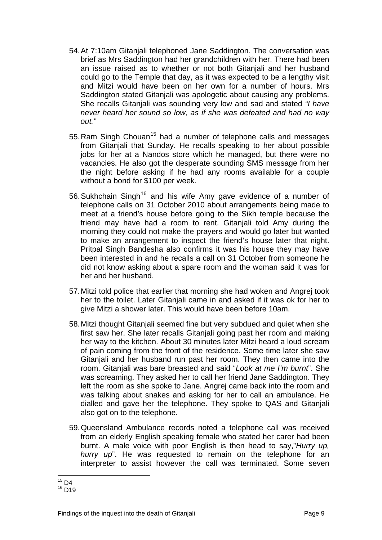- 54. At 7:10am Gitanjali telephoned Jane Saddington. The conversation was brief as Mrs Saddington had her grandchildren with her. There had been an issue raised as to whether or not both Gitanjali and her husband could go to the Temple that day, as it was expected to be a lengthy visit and Mitzi would have been on her own for a number of hours. Mrs Saddington stated Gitanjali was apologetic about causing any problems. She recalls Gitanjali was sounding very low and sad and stated *"I have never heard her sound so low, as if she was defeated and had no way out."*
- 55. Ram Singh Chouan<sup>[15](#page-10-0)</sup> had a number of telephone calls and messages from Gitanjali that Sunday. He recalls speaking to her about possible jobs for her at a Nandos store which he managed, but there were no vacancies. He also got the desperate sounding SMS message from her the night before asking if he had any rooms available for a couple without a bond for \$100 per week.
- 56. Sukhchain Singh<sup>[16](#page-10-1)</sup> and his wife Amy gave evidence of a number of telephone calls on 31 October 2010 about arrangements being made to meet at a friend's house before going to the Sikh temple because the friend may have had a room to rent. Gitanjali told Amy during the morning they could not make the prayers and would go later but wanted to make an arrangement to inspect the friend's house later that night. Pritpal Singh Bandesha also confirms it was his house they may have been interested in and he recalls a call on 31 October from someone he did not know asking about a spare room and the woman said it was for her and her husband.
- 57. Mitzi told police that earlier that morning she had woken and Angrej took her to the toilet. Later Gitanjali came in and asked if it was ok for her to give Mitzi a shower later. This would have been before 10am.
- 58. Mitzi thought Gitanjali seemed fine but very subdued and quiet when she first saw her. She later recalls Gitanjali going past her room and making her way to the kitchen. About 30 minutes later Mitzi heard a loud scream of pain coming from the front of the residence. Some time later she saw Gitanjali and her husband run past her room. They then came into the room. Gitanjali was bare breasted and said "*Look at me I'm burnt*". She was screaming. They asked her to call her friend Jane Saddington. They left the room as she spoke to Jane. Angrej came back into the room and was talking about snakes and asking for her to call an ambulance. He dialled and gave her the telephone. They spoke to QAS and Gitanjali also got on to the telephone.
- 59. Queensland Ambulance records noted a telephone call was received from an elderly English speaking female who stated her carer had been burnt. A male voice with poor English is then head to say,"*Hurry up, hurry up*". He was requested to remain on the telephone for an interpreter to assist however the call was terminated. Some seven

 $15$  D4

<span id="page-10-1"></span><span id="page-10-0"></span> $16$  D<sub>19</sub>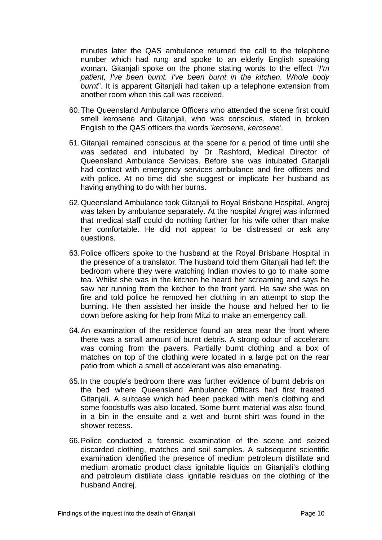minutes later the QAS ambulance returned the call to the telephone number which had rung and spoke to an elderly English speaking woman. Gitanjali spoke on the phone stating words to the effect "*I'm patient, I've been burnt. I've been burnt in the kitchen. Whole body burnt*". It is apparent Gitanjali had taken up a telephone extension from another room when this call was received.

- 60. The Queensland Ambulance Officers who attended the scene first could smell kerosene and Gitanjali, who was conscious, stated in broken English to the QAS officers the words '*kerosene, kerosene*'.
- 61. Gitanjali remained conscious at the scene for a period of time until she was sedated and intubated by Dr Rashford, Medical Director of Queensland Ambulance Services. Before she was intubated Gitanjali had contact with emergency services ambulance and fire officers and with police. At no time did she suggest or implicate her husband as having anything to do with her burns.
- 62. Queensland Ambulance took Gitanjali to Royal Brisbane Hospital. Angrej was taken by ambulance separately. At the hospital Angrej was informed that medical staff could do nothing further for his wife other than make her comfortable. He did not appear to be distressed or ask any questions.
- 63. Police officers spoke to the husband at the Royal Brisbane Hospital in the presence of a translator. The husband told them Gitanjali had left the bedroom where they were watching Indian movies to go to make some tea. Whilst she was in the kitchen he heard her screaming and says he saw her running from the kitchen to the front yard. He saw she was on fire and told police he removed her clothing in an attempt to stop the burning. He then assisted her inside the house and helped her to lie down before asking for help from Mitzi to make an emergency call.
- 64. An examination of the residence found an area near the front where there was a small amount of burnt debris. A strong odour of accelerant was coming from the pavers. Partially burnt clothing and a box of matches on top of the clothing were located in a large pot on the rear patio from which a smell of accelerant was also emanating.
- 65. In the couple's bedroom there was further evidence of burnt debris on the bed where Queensland Ambulance Officers had first treated Gitanjali. A suitcase which had been packed with men's clothing and some foodstuffs was also located. Some burnt material was also found in a bin in the ensuite and a wet and burnt shirt was found in the shower recess.
- 66. Police conducted a forensic examination of the scene and seized discarded clothing, matches and soil samples. A subsequent scientific examination identified the presence of medium petroleum distillate and medium aromatic product class ignitable liquids on Gitanjali's clothing and petroleum distillate class ignitable residues on the clothing of the husband Andrej.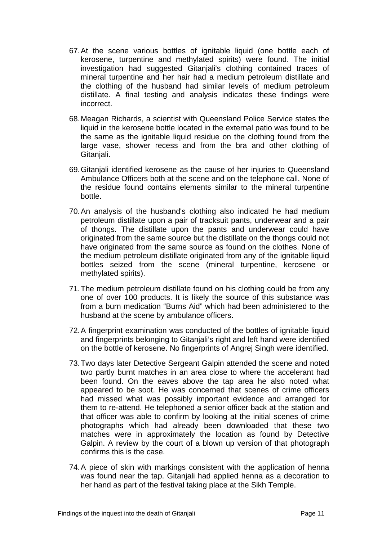- 67. At the scene various bottles of ignitable liquid (one bottle each of kerosene, turpentine and methylated spirits) were found. The initial investigation had suggested Gitanjali's clothing contained traces of mineral turpentine and her hair had a medium petroleum distillate and the clothing of the husband had similar levels of medium petroleum distillate. A final testing and analysis indicates these findings were incorrect.
- 68. Meagan Richards, a scientist with Queensland Police Service states the liquid in the kerosene bottle located in the external patio was found to be the same as the ignitable liquid residue on the clothing found from the large vase, shower recess and from the bra and other clothing of Gitanjali.
- 69. Gitanjali identified kerosene as the cause of her injuries to Queensland Ambulance Officers both at the scene and on the telephone call. None of the residue found contains elements similar to the mineral turpentine bottle.
- 70. An analysis of the husband's clothing also indicated he had medium petroleum distillate upon a pair of tracksuit pants, underwear and a pair of thongs. The distillate upon the pants and underwear could have originated from the same source but the distillate on the thongs could not have originated from the same source as found on the clothes. None of the medium petroleum distillate originated from any of the ignitable liquid bottles seized from the scene (mineral turpentine, kerosene or methylated spirits).
- 71. The medium petroleum distillate found on his clothing could be from any one of over 100 products. It is likely the source of this substance was from a burn medication "Burns Aid" which had been administered to the husband at the scene by ambulance officers.
- 72. A fingerprint examination was conducted of the bottles of ignitable liquid and fingerprints belonging to Gitanjali's right and left hand were identified on the bottle of kerosene. No fingerprints of Angrej Singh were identified.
- 73. Two days later Detective Sergeant Galpin attended the scene and noted two partly burnt matches in an area close to where the accelerant had been found. On the eaves above the tap area he also noted what appeared to be soot. He was concerned that scenes of crime officers had missed what was possibly important evidence and arranged for them to re-attend. He telephoned a senior officer back at the station and that officer was able to confirm by looking at the initial scenes of crime photographs which had already been downloaded that these two matches were in approximately the location as found by Detective Galpin. A review by the court of a blown up version of that photograph confirms this is the case.
- 74. A piece of skin with markings consistent with the application of henna was found near the tap. Gitanjali had applied henna as a decoration to her hand as part of the festival taking place at the Sikh Temple.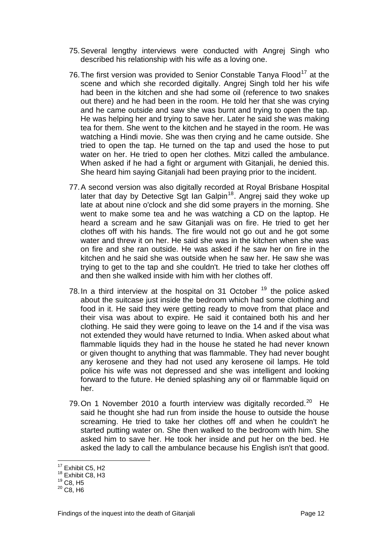- 75. Several lengthy interviews were conducted with Angrej Singh who described his relationship with his wife as a loving one.
- 76. The first version was provided to Senior Constable Tanya Flood<sup>[17](#page-13-0)</sup> at the scene and which she recorded digitally. Angrej Singh told her his wife had been in the kitchen and she had some oil (reference to two snakes out there) and he had been in the room. He told her that she was crying and he came outside and saw she was burnt and trying to open the tap. He was helping her and trying to save her. Later he said she was making tea for them. She went to the kitchen and he stayed in the room. He was watching a Hindi movie. She was then crying and he came outside. She tried to open the tap. He turned on the tap and used the hose to put water on her. He tried to open her clothes. Mitzi called the ambulance. When asked if he had a fight or argument with Gitanjali, he denied this. She heard him saying Gitanjali had been praying prior to the incident.
- 77. A second version was also digitally recorded at Royal Brisbane Hospital later that day by Detective Sgt Ian Galpin<sup>[18](#page-13-1)</sup>. Angrej said they woke up late at about nine o'clock and she did some prayers in the morning. She went to make some tea and he was watching a CD on the laptop. He heard a scream and he saw Gitanjali was on fire. He tried to get her clothes off with his hands. The fire would not go out and he got some water and threw it on her. He said she was in the kitchen when she was on fire and she ran outside. He was asked if he saw her on fire in the kitchen and he said she was outside when he saw her. He saw she was trying to get to the tap and she couldn't. He tried to take her clothes off and then she walked inside with him with her clothes off.
- 78. In a third interview at the hospital on 31 October  $19$  the police asked about the suitcase just inside the bedroom which had some clothing and food in it. He said they were getting ready to move from that place and their visa was about to expire. He said it contained both his and her clothing. He said they were going to leave on the 14 and if the visa was not extended they would have returned to India. When asked about what flammable liquids they had in the house he stated he had never known or given thought to anything that was flammable. They had never bought any kerosene and they had not used any kerosene oil lamps. He told police his wife was not depressed and she was intelligent and looking forward to the future. He denied splashing any oil or flammable liquid on her.
- 79. On 1 November [20](#page-13-3)10 a fourth interview was digitally recorded.<sup>20</sup> He said he thought she had run from inside the house to outside the house screaming. He tried to take her clothes off and when he couldn't he started putting water on. She then walked to the bedroom with him. She asked him to save her. He took her inside and put her on the bed. He asked the lady to call the ambulance because his English isn't that good.

 $17$  Exhibit C5, H2

<span id="page-13-1"></span><span id="page-13-0"></span><sup>&</sup>lt;sup>18</sup> Exhibit C8, H3

<sup>19</sup> C8, H5

<span id="page-13-3"></span><span id="page-13-2"></span> $20$  C<sub>8</sub>, H<sub>6</sub>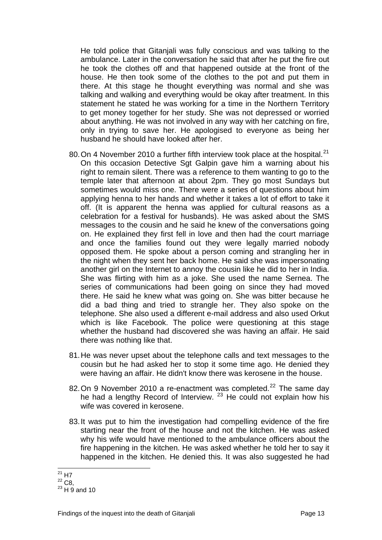He told police that Gitanjali was fully conscious and was talking to the ambulance. Later in the conversation he said that after he put the fire out he took the clothes off and that happened outside at the front of the house. He then took some of the clothes to the pot and put them in there. At this stage he thought everything was normal and she was talking and walking and everything would be okay after treatment. In this statement he stated he was working for a time in the Northern Territory to get money together for her study. She was not depressed or worried about anything. He was not involved in any way with her catching on fire, only in trying to save her. He apologised to everyone as being her husband he should have looked after her.

- 80. On 4 November 2010 a further fifth interview took place at the hospital.<sup>[21](#page-14-0)</sup> On this occasion Detective Sgt Galpin gave him a warning about his right to remain silent. There was a reference to them wanting to go to the temple later that afternoon at about 2pm. They go most Sundays but sometimes would miss one. There were a series of questions about him applying henna to her hands and whether it takes a lot of effort to take it off. (It is apparent the henna was applied for cultural reasons as a celebration for a festival for husbands). He was asked about the SMS messages to the cousin and he said he knew of the conversations going on. He explained they first fell in love and then had the court marriage and once the families found out they were legally married nobody opposed them. He spoke about a person coming and strangling her in the night when they sent her back home. He said she was impersonating another girl on the Internet to annoy the cousin like he did to her in India. She was flirting with him as a joke. She used the name Sernea. The series of communications had been going on since they had moved there. He said he knew what was going on. She was bitter because he did a bad thing and tried to strangle her. They also spoke on the telephone. She also used a different e-mail address and also used Orkut which is like Facebook. The police were questioning at this stage whether the husband had discovered she was having an affair. He said there was nothing like that.
- 81. He was never upset about the telephone calls and text messages to the cousin but he had asked her to stop it some time ago. He denied they were having an affair. He didn't know there was kerosene in the house.
- 82. On 9 November 2010 a re-enactment was completed. $^{22}$  $^{22}$  $^{22}$  The same day he had a lengthy Record of Interview.  $23$  He could not explain how his wife was covered in kerosene.
- 83. It was put to him the investigation had compelling evidence of the fire starting near the front of the house and not the kitchen. He was asked why his wife would have mentioned to the ambulance officers about the fire happening in the kitchen. He was asked whether he told her to say it happened in the kitchen. He denied this. It was also suggested he had

l  $^{21}$  H7

<span id="page-14-1"></span><span id="page-14-0"></span> $22$  C<sub>8</sub>,

<span id="page-14-2"></span> $^{23}$  H 9 and 10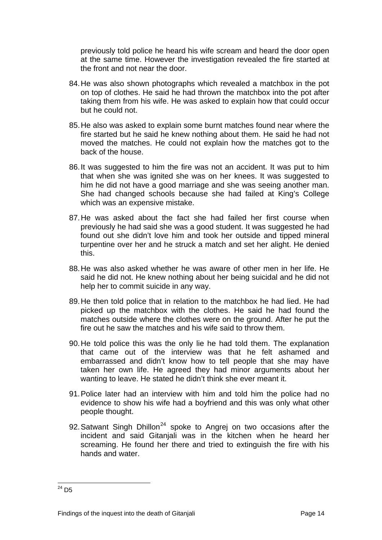previously told police he heard his wife scream and heard the door open at the same time. However the investigation revealed the fire started at the front and not near the door.

- 84. He was also shown photographs which revealed a matchbox in the pot on top of clothes. He said he had thrown the matchbox into the pot after taking them from his wife. He was asked to explain how that could occur but he could not.
- 85. He also was asked to explain some burnt matches found near where the fire started but he said he knew nothing about them. He said he had not moved the matches. He could not explain how the matches got to the back of the house.
- 86. It was suggested to him the fire was not an accident. It was put to him that when she was ignited she was on her knees. It was suggested to him he did not have a good marriage and she was seeing another man. She had changed schools because she had failed at King's College which was an expensive mistake.
- 87. He was asked about the fact she had failed her first course when previously he had said she was a good student. It was suggested he had found out she didn't love him and took her outside and tipped mineral turpentine over her and he struck a match and set her alight. He denied this.
- 88. He was also asked whether he was aware of other men in her life. He said he did not. He knew nothing about her being suicidal and he did not help her to commit suicide in any way.
- 89. He then told police that in relation to the matchbox he had lied. He had picked up the matchbox with the clothes. He said he had found the matches outside where the clothes were on the ground. After he put the fire out he saw the matches and his wife said to throw them.
- 90. He told police this was the only lie he had told them. The explanation that came out of the interview was that he felt ashamed and embarrassed and didn't know how to tell people that she may have taken her own life. He agreed they had minor arguments about her wanting to leave. He stated he didn't think she ever meant it.
- 91. Police later had an interview with him and told him the police had no evidence to show his wife had a boyfriend and this was only what other people thought.
- 92. Satwant Singh Dhillon<sup>[24](#page-15-0)</sup> spoke to Angrej on two occasions after the incident and said Gitanjali was in the kitchen when he heard her screaming. He found her there and tried to extinguish the fire with his hands and water.

<span id="page-15-0"></span>l  $^{24}$  D5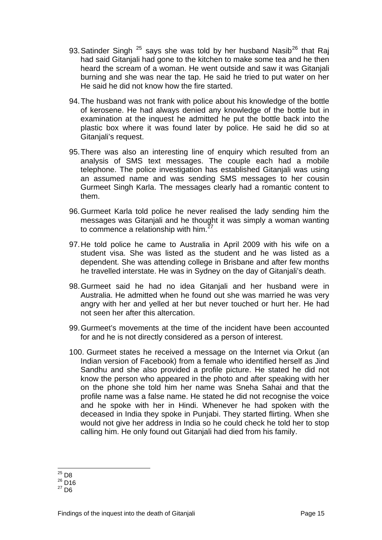- 93. Satinder Singh  $^{25}$  $^{25}$  $^{25}$  says she was told by her husband Nasib<sup>[26](#page-16-1)</sup> that Raj had said Gitanjali had gone to the kitchen to make some tea and he then heard the scream of a woman. He went outside and saw it was Gitanjali burning and she was near the tap. He said he tried to put water on her He said he did not know how the fire started.
- 94. The husband was not frank with police about his knowledge of the bottle of kerosene. He had always denied any knowledge of the bottle but in examination at the inquest he admitted he put the bottle back into the plastic box where it was found later by police. He said he did so at Gitanjali's request.
- 95. There was also an interesting line of enquiry which resulted from an analysis of SMS text messages. The couple each had a mobile telephone. The police investigation has established Gitanjali was using an assumed name and was sending SMS messages to her cousin Gurmeet Singh Karla. The messages clearly had a romantic content to them.
- 96. Gurmeet Karla told police he never realised the lady sending him the messages was Gitanjali and he thought it was simply a woman wanting to commence a relationship with him.<sup>[27](#page-16-2)</sup>
- 97. He told police he came to Australia in April 2009 with his wife on a student visa. She was listed as the student and he was listed as a dependent. She was attending college in Brisbane and after few months he travelled interstate. He was in Sydney on the day of Gitanjali's death.
- 98. Gurmeet said he had no idea Gitanjali and her husband were in Australia. He admitted when he found out she was married he was very angry with her and yelled at her but never touched or hurt her. He had not seen her after this altercation.
- 99. Gurmeet's movements at the time of the incident have been accounted for and he is not directly considered as a person of interest.
- 100. Gurmeet states he received a message on the Internet via Orkut (an Indian version of Facebook) from a female who identified herself as Jind Sandhu and she also provided a profile picture. He stated he did not know the person who appeared in the photo and after speaking with her on the phone she told him her name was Sneha Sahai and that the profile name was a false name. He stated he did not recognise the voice and he spoke with her in Hindi. Whenever he had spoken with the deceased in India they spoke in Punjabi. They started flirting. When she would not give her address in India so he could check he told her to stop calling him. He only found out Gitanjali had died from his family.

l  $25$  D<sub>8</sub>

<span id="page-16-1"></span><span id="page-16-0"></span> $^{26}$  D<sub>16</sub>

<span id="page-16-2"></span> $27 \overline{D6}$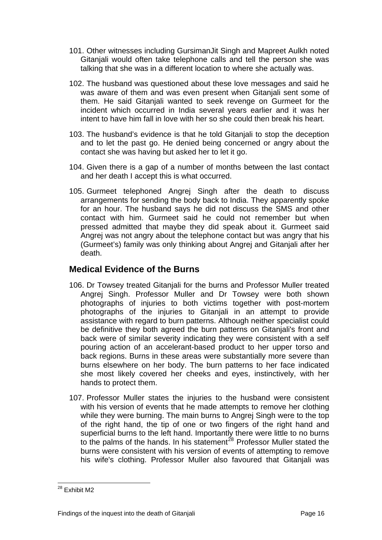- <span id="page-17-0"></span>101. Other witnesses including GursimanJit Singh and Mapreet Aulkh noted Gitanjali would often take telephone calls and tell the person she was talking that she was in a different location to where she actually was.
- 102. The husband was questioned about these love messages and said he was aware of them and was even present when Gitanjali sent some of them. He said Gitanjali wanted to seek revenge on Gurmeet for the incident which occurred in India several years earlier and it was her intent to have him fall in love with her so she could then break his heart.
- 103. The husband's evidence is that he told Gitanjali to stop the deception and to let the past go. He denied being concerned or angry about the contact she was having but asked her to let it go.
- 104. Given there is a gap of a number of months between the last contact and her death I accept this is what occurred.
- 105. Gurmeet telephoned Angrej Singh after the death to discuss arrangements for sending the body back to India. They apparently spoke for an hour. The husband says he did not discuss the SMS and other contact with him. Gurmeet said he could not remember but when pressed admitted that maybe they did speak about it. Gurmeet said Angrej was not angry about the telephone contact but was angry that his (Gurmeet's) family was only thinking about Angrej and Gitanjali after her death.

#### **Medical Evidence of the Burns**

- 106. Dr Towsey treated Gitanjali for the burns and Professor Muller treated Angrej Singh. Professor Muller and Dr Towsey were both shown photographs of injuries to both victims together with post-mortem photographs of the injuries to Gitanjali in an attempt to provide assistance with regard to burn patterns. Although neither specialist could be definitive they both agreed the burn patterns on Gitanjali's front and back were of similar severity indicating they were consistent with a self pouring action of an accelerant-based product to her upper torso and back regions. Burns in these areas were substantially more severe than burns elsewhere on her body. The burn patterns to her face indicated she most likely covered her cheeks and eyes, instinctively, with her hands to protect them.
- 107. Professor Muller states the injuries to the husband were consistent with his version of events that he made attempts to remove her clothing while they were burning. The main burns to Angrej Singh were to the top of the right hand, the tip of one or two fingers of the right hand and superficial burns to the left hand. Importantly there were little to no burns to the palms of the hands. In his statement<sup>[28](#page-17-1)</sup> Professor Muller stated the burns were consistent with his version of events of attempting to remove his wife's clothing. Professor Muller also favoured that Gitanjali was

<span id="page-17-1"></span>l <sup>28</sup> Exhibit M2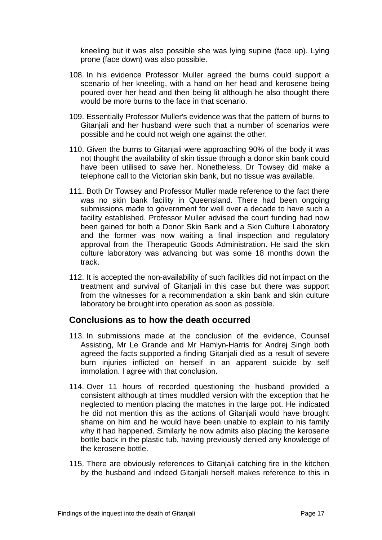<span id="page-18-0"></span>kneeling but it was also possible she was lying supine (face up). Lying prone (face down) was also possible.

- 108. In his evidence Professor Muller agreed the burns could support a scenario of her kneeling, with a hand on her head and kerosene being poured over her head and then being lit although he also thought there would be more burns to the face in that scenario.
- 109. Essentially Professor Muller's evidence was that the pattern of burns to Gitanjali and her husband were such that a number of scenarios were possible and he could not weigh one against the other.
- 110. Given the burns to Gitanjali were approaching 90% of the body it was not thought the availability of skin tissue through a donor skin bank could have been utilised to save her. Nonetheless, Dr Towsey did make a telephone call to the Victorian skin bank, but no tissue was available.
- 111. Both Dr Towsey and Professor Muller made reference to the fact there was no skin bank facility in Queensland. There had been ongoing submissions made to government for well over a decade to have such a facility established. Professor Muller advised the court funding had now been gained for both a Donor Skin Bank and a Skin Culture Laboratory and the former was now waiting a final inspection and regulatory approval from the Therapeutic Goods Administration. He said the skin culture laboratory was advancing but was some 18 months down the track.
- 112. It is accepted the non-availability of such facilities did not impact on the treatment and survival of Gitanjali in this case but there was support from the witnesses for a recommendation a skin bank and skin culture laboratory be brought into operation as soon as possible.

#### **Conclusions as to how the death occurred**

- 113. In submissions made at the conclusion of the evidence, Counsel Assisting, Mr Le Grande and Mr Hamlyn-Harris for Andrej Singh both agreed the facts supported a finding Gitanjali died as a result of severe burn injuries inflicted on herself in an apparent suicide by self immolation. I agree with that conclusion.
- 114. Over 11 hours of recorded questioning the husband provided a consistent although at times muddled version with the exception that he neglected to mention placing the matches in the large pot. He indicated he did not mention this as the actions of Gitanjali would have brought shame on him and he would have been unable to explain to his family why it had happened. Similarly he now admits also placing the kerosene bottle back in the plastic tub, having previously denied any knowledge of the kerosene bottle.
- 115. There are obviously references to Gitanjali catching fire in the kitchen by the husband and indeed Gitanjali herself makes reference to this in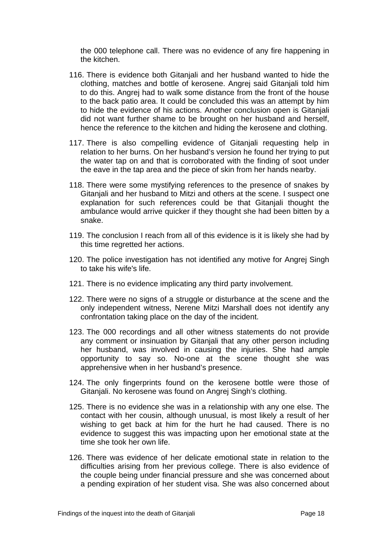the 000 telephone call. There was no evidence of any fire happening in the kitchen.

- 116. There is evidence both Gitanjali and her husband wanted to hide the clothing, matches and bottle of kerosene. Angrej said Gitanjali told him to do this. Angrej had to walk some distance from the front of the house to the back patio area. It could be concluded this was an attempt by him to hide the evidence of his actions. Another conclusion open is Gitanjali did not want further shame to be brought on her husband and herself, hence the reference to the kitchen and hiding the kerosene and clothing.
- 117. There is also compelling evidence of Gitanjali requesting help in relation to her burns. On her husband's version he found her trying to put the water tap on and that is corroborated with the finding of soot under the eave in the tap area and the piece of skin from her hands nearby.
- 118. There were some mystifying references to the presence of snakes by Gitanjali and her husband to Mitzi and others at the scene. I suspect one explanation for such references could be that Gitanjali thought the ambulance would arrive quicker if they thought she had been bitten by a snake.
- 119. The conclusion I reach from all of this evidence is it is likely she had by this time regretted her actions.
- 120. The police investigation has not identified any motive for Angrej Singh to take his wife's life.
- 121. There is no evidence implicating any third party involvement.
- 122. There were no signs of a struggle or disturbance at the scene and the only independent witness, Nerene Mitzi Marshall does not identify any confrontation taking place on the day of the incident.
- 123. The 000 recordings and all other witness statements do not provide any comment or insinuation by Gitanjali that any other person including her husband, was involved in causing the injuries. She had ample opportunity to say so. No-one at the scene thought she was apprehensive when in her husband's presence.
- 124. The only fingerprints found on the kerosene bottle were those of Gitanjali. No kerosene was found on Angrej Singh's clothing.
- 125. There is no evidence she was in a relationship with any one else. The contact with her cousin, although unusual, is most likely a result of her wishing to get back at him for the hurt he had caused. There is no evidence to suggest this was impacting upon her emotional state at the time she took her own life.
- 126. There was evidence of her delicate emotional state in relation to the difficulties arising from her previous college. There is also evidence of the couple being under financial pressure and she was concerned about a pending expiration of her student visa. She was also concerned about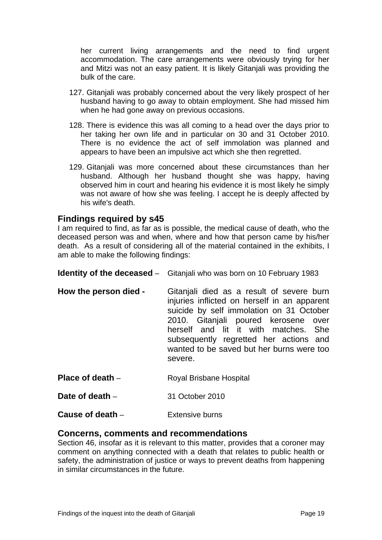<span id="page-20-0"></span>her current living arrangements and the need to find urgent accommodation. The care arrangements were obviously trying for her and Mitzi was not an easy patient. It is likely Gitanjali was providing the bulk of the care.

- 127. Gitanjali was probably concerned about the very likely prospect of her husband having to go away to obtain employment. She had missed him when he had gone away on previous occasions.
- 128. There is evidence this was all coming to a head over the days prior to her taking her own life and in particular on 30 and 31 October 2010. There is no evidence the act of self immolation was planned and appears to have been an impulsive act which she then regretted.
- 129. Gitanjali was more concerned about these circumstances than her husband. Although her husband thought she was happy, having observed him in court and hearing his evidence it is most likely he simply was not aware of how she was feeling. I accept he is deeply affected by his wife's death.

#### **Findings required by s45**

I am required to find, as far as is possible, the medical cause of death, who the deceased person was and when, where and how that person came by his/her death. As a result of considering all of the material contained in the exhibits, I am able to make the following findings:

|                       | <b>Identity of the deceased</b> – Gitanjali who was born on 10 February 1983                                                                                                                                                                                                                                            |
|-----------------------|-------------------------------------------------------------------------------------------------------------------------------------------------------------------------------------------------------------------------------------------------------------------------------------------------------------------------|
| How the person died - | Gitanjali died as a result of severe burn<br>injuries inflicted on herself in an apparent<br>suicide by self immolation on 31 October<br>2010. Gitanjali poured kerosene over<br>herself and lit it with matches. She<br>subsequently regretted her actions and<br>wanted to be saved but her burns were too<br>severe. |

**Place of death** – Royal Brisbane Hospital

**Date of death** – 31 October 2010

**Cause of death** – Extensive burns

#### **Concerns, comments and recommendations**

Section 46, insofar as it is relevant to this matter, provides that a coroner may comment on anything connected with a death that relates to public health or safety, the administration of justice or ways to prevent deaths from happening in similar circumstances in the future.